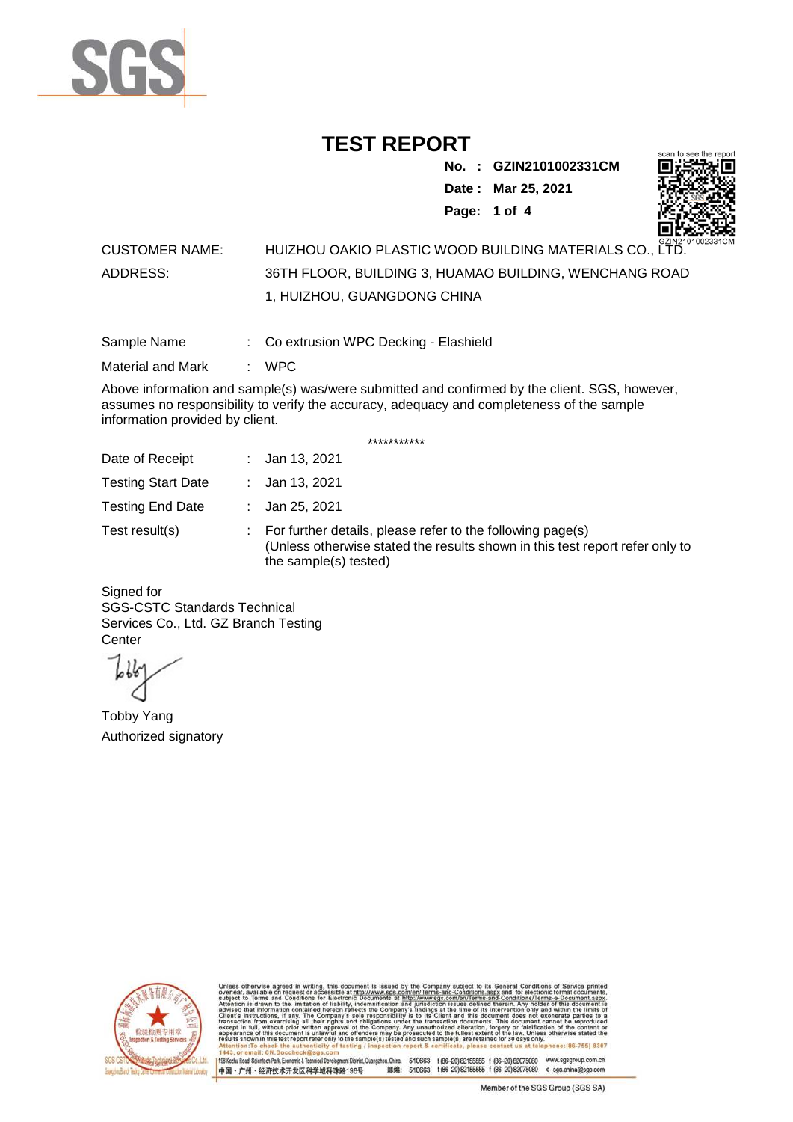

**No. : GZIN2101002331CM Date : Mar 25, 2021**



**Page: 1 of 4** 

#### CUSTOMER NAME: HUIZHOU OAKIO PLASTIC WOOD BUILDING MATERIALS CO., LTD. ADDRESS: 36TH FLOOR, BUILDING 3, HUAMAO BUILDING, WENCHANG ROAD 1, HUIZHOU, GUANGDONG CHINA

Sample Name : Co extrusion WPC Decking - Elashield

Material and Mark : WPC

Above information and sample(s) was/were submitted and confirmed by the client. SGS, however, assumes no responsibility to verify the accuracy, adequacy and completeness of the sample information provided by client.

\*\*\*\*\*\*\*\*\*\*\*

| Date of Receipt           | : Jan 13, 2021                                                                                                                                                        |
|---------------------------|-----------------------------------------------------------------------------------------------------------------------------------------------------------------------|
| <b>Testing Start Date</b> | : Jan 13, 2021                                                                                                                                                        |
| <b>Testing End Date</b>   | : Jan 25, 2021                                                                                                                                                        |
| Test result(s)            | : For further details, please refer to the following page(s)<br>(Unless otherwise stated the results shown in this test report refer only to<br>the sample(s) tested) |

Signed for SGS-CSTC Standards Technical Services Co., Ltd. GZ Branch Testing **Center** 

Tobby Yang Authorized signatory



510663 t(86-20) 82155555 f (86-20) 82075080 www.sgsgroup.com.cn<br>510663 t(86-20) 82155555 f (86-20) 82075080 e sgs.china@sgs.com 198 Kezhu Road, Scientech Park, Eco nomic & Technical Devel tou, China. ant District C 邮编: 中国·广州·经济技术开发区科学城科珠路198号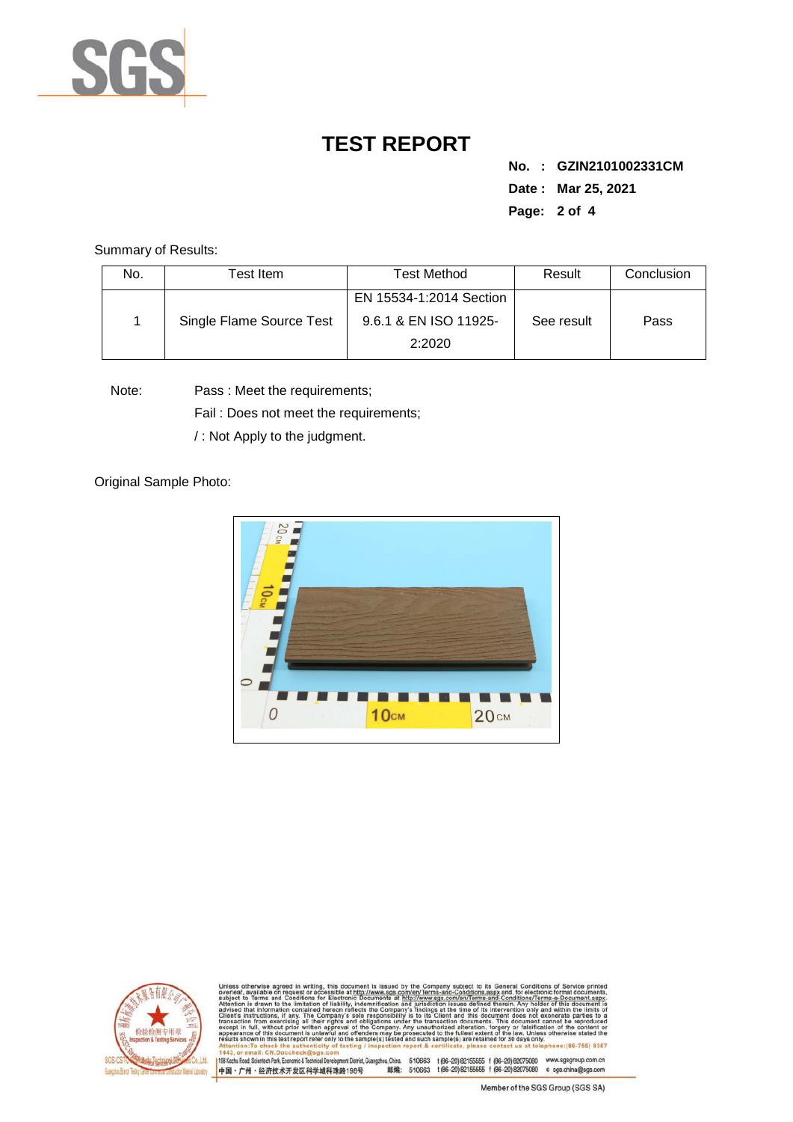

**No. : GZIN2101002331CM Date : Mar 25, 2021 Page: 2 of 4** 

Summary of Results:

| No. | Test Item                | Test Method                     | Result     | Conclusion |
|-----|--------------------------|---------------------------------|------------|------------|
|     |                          | EN 15534-1:2014 Section         |            | Pass       |
|     | Single Flame Source Test | 9.6.1 & EN ISO 11925-<br>2:2020 | See result |            |

Note: Pass : Meet the requirements;

Fail : Does not meet the requirements;

/ : Not Apply to the judgment.

Original Sample Photo:





Conditions/Terms-e-Do<br>rein. Anv.holder.of.thi nentDistrict,Guangzhou,China. 510663 t (86–20) 82155555 f (86–20) 82075080 www.sgsgroup.com.cn<br>格198号 邮编: 510663 t (86–20) 82155555 f (86–20) 82075080 e sgs.china@sgs.com 198 Kezhu Road, Scientech Park, Economic & Technical Develo 中国·广州·经济技术开发区科学城科珠路198号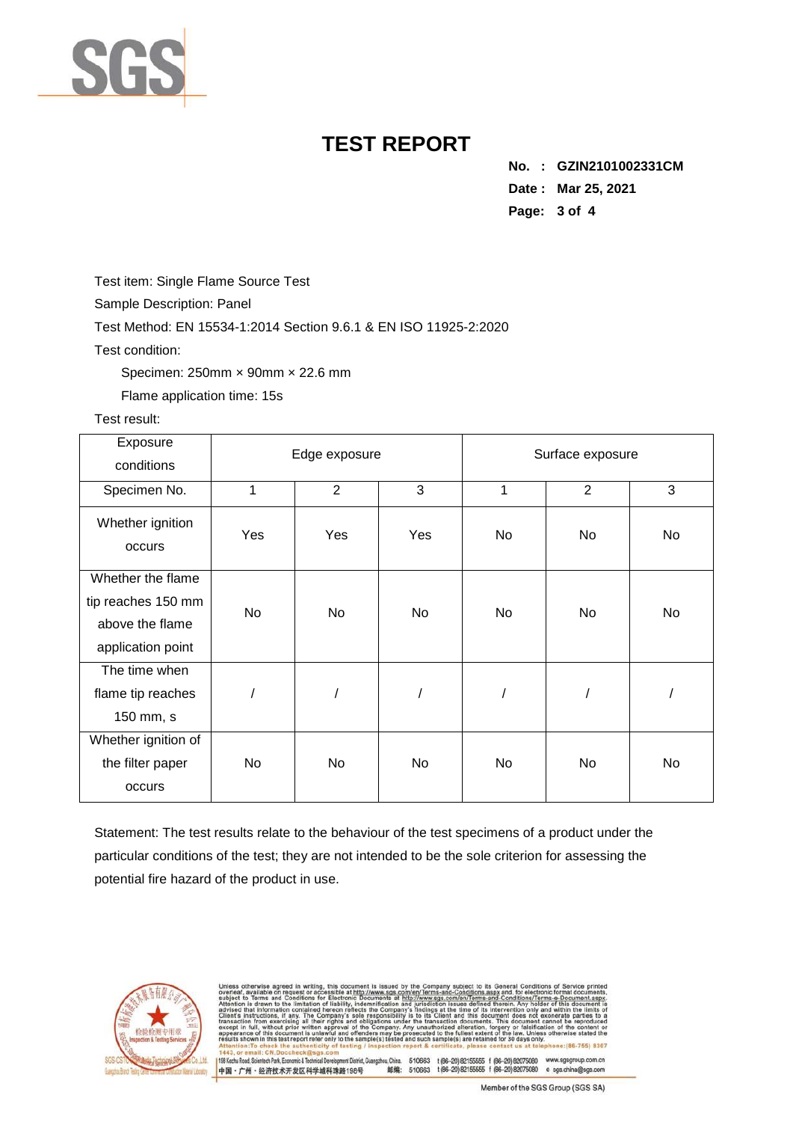

**No. : GZIN2101002331CM Date : Mar 25, 2021 Page: 3 of 4** 

Test item: Single Flame Source Test

Sample Description: Panel

Test Method: EN 15534-1:2014 Section 9.6.1 & EN ISO 11925-2:2020

Test condition:

Specimen: 250mm × 90mm × 22.6 mm

Flame application time: 15s

Test result:

| Exposure<br>conditions                                                          |           | Edge exposure  |           | Surface exposure |                |     |
|---------------------------------------------------------------------------------|-----------|----------------|-----------|------------------|----------------|-----|
| Specimen No.                                                                    | 1         | $\overline{2}$ | 3         | 1                | $\overline{2}$ | 3   |
| Whether ignition<br>occurs                                                      | Yes       | Yes            | Yes       | No               | <b>No</b>      | No  |
| Whether the flame<br>tip reaches 150 mm<br>above the flame<br>application point | <b>No</b> | No.            | <b>No</b> | No               | <b>No</b>      | No. |
| The time when<br>flame tip reaches<br>150 mm, s                                 |           |                |           |                  |                |     |
| Whether ignition of<br>the filter paper<br>occurs                               | <b>No</b> | No.            | No        | No               | <b>No</b>      | No. |

Statement: The test results relate to the behaviour of the test specimens of a product under the particular conditions of the test; they are not intended to be the sole criterion for assessing the potential fire hazard of the product in use.



Conditions/Terms-e-D<br>rein. Any holder of th 198 Kezhu Road, Scientech Park, Economic & Technical Develop 中国·广州·经济技术开发区科学城科珠路198号